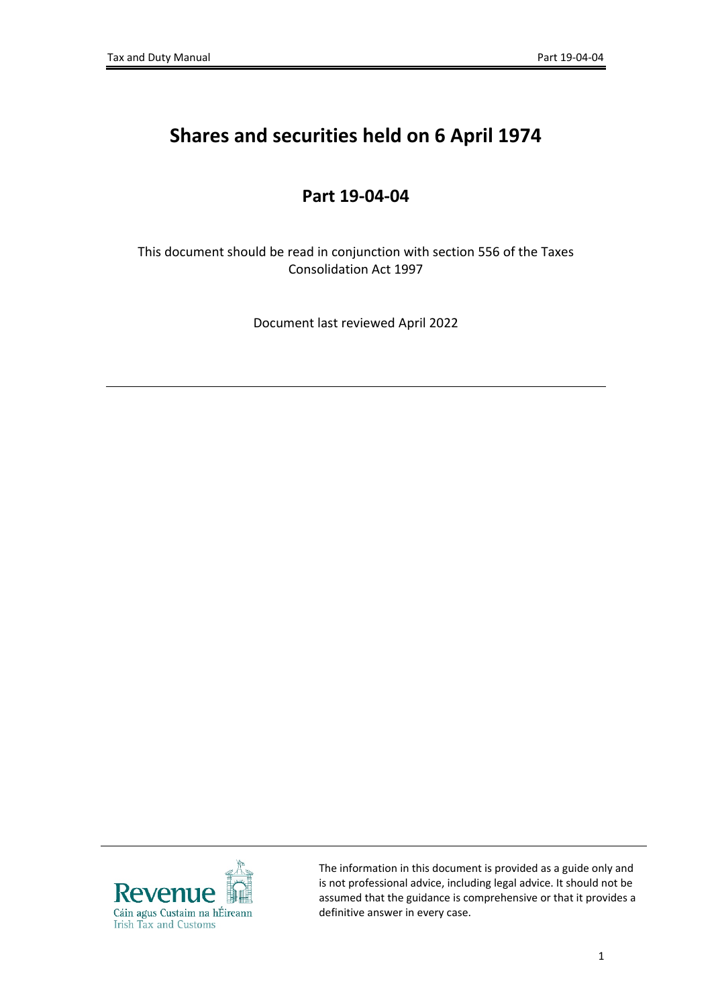## **Shares and securities held on 6 April 1974**

## **Part 19-04-04**

This document should be read in conjunction with section 556 of the Taxes Consolidation Act 1997

Document last reviewed April 2022



The information in this document is provided as a guide only and is not professional advice, including legal advice. It should not be assumed that the guidance is comprehensive or that it provides a definitive answer in every case.